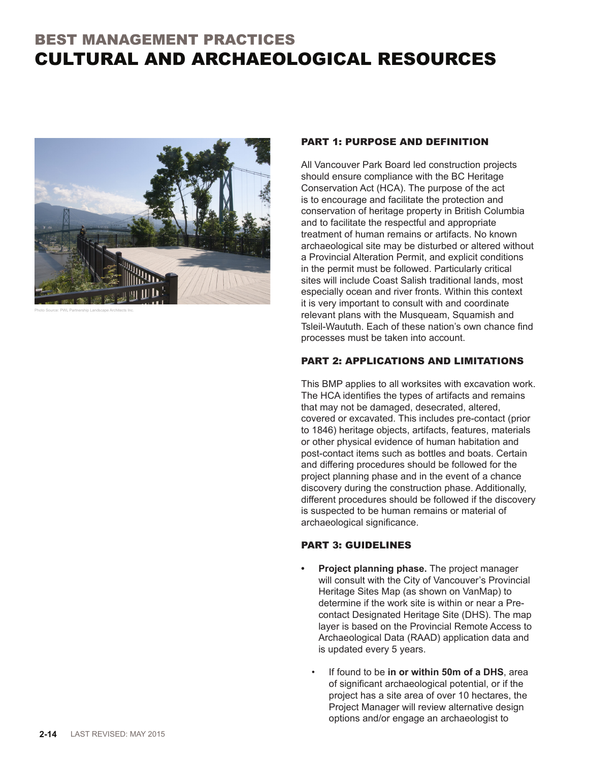## BEST MANAGEMENT PRACTICES CULTURAL AND ARCHAEOLOGICAL RESOURCES



Photo Source: PWL Partnership Landscape Architects Inc.

## PART 1: PURPOSE AND DEFINITION

All Vancouver Park Board led construction projects should ensure compliance with the BC Heritage Conservation Act (HCA). The purpose of the act is to encourage and facilitate the protection and conservation of heritage property in British Columbia and to facilitate the respectful and appropriate treatment of human remains or artifacts. No known archaeological site may be disturbed or altered without a Provincial Alteration Permit, and explicit conditions in the permit must be followed. Particularly critical sites will include Coast Salish traditional lands, most especially ocean and river fronts. Within this context it is very important to consult with and coordinate relevant plans with the Musqueam, Squamish and Tsleil-Waututh. Each of these nation's own chance find processes must be taken into account.

## PART 2: APPLICATIONS AND LIMITATIONS

This BMP applies to all worksites with excavation work. The HCA identifies the types of artifacts and remains that may not be damaged, desecrated, altered, covered or excavated. This includes pre-contact (prior to 1846) heritage objects, artifacts, features, materials or other physical evidence of human habitation and post-contact items such as bottles and boats. Certain and differing procedures should be followed for the project planning phase and in the event of a chance discovery during the construction phase. Additionally, different procedures should be followed if the discovery is suspected to be human remains or material of archaeological significance.

## PART 3: GUIDELINES

- **• Project planning phase.** The project manager will consult with the City of Vancouver's Provincial Heritage Sites Map (as shown on VanMap) to determine if the work site is within or near a Precontact Designated Heritage Site (DHS). The map layer is based on the Provincial Remote Access to Archaeological Data (RAAD) application data and is updated every 5 years.
	- If found to be **in or within 50m of a DHS**, area of significant archaeological potential, or if the project has a site area of over 10 hectares, the Project Manager will review alternative design options and/or engage an archaeologist to